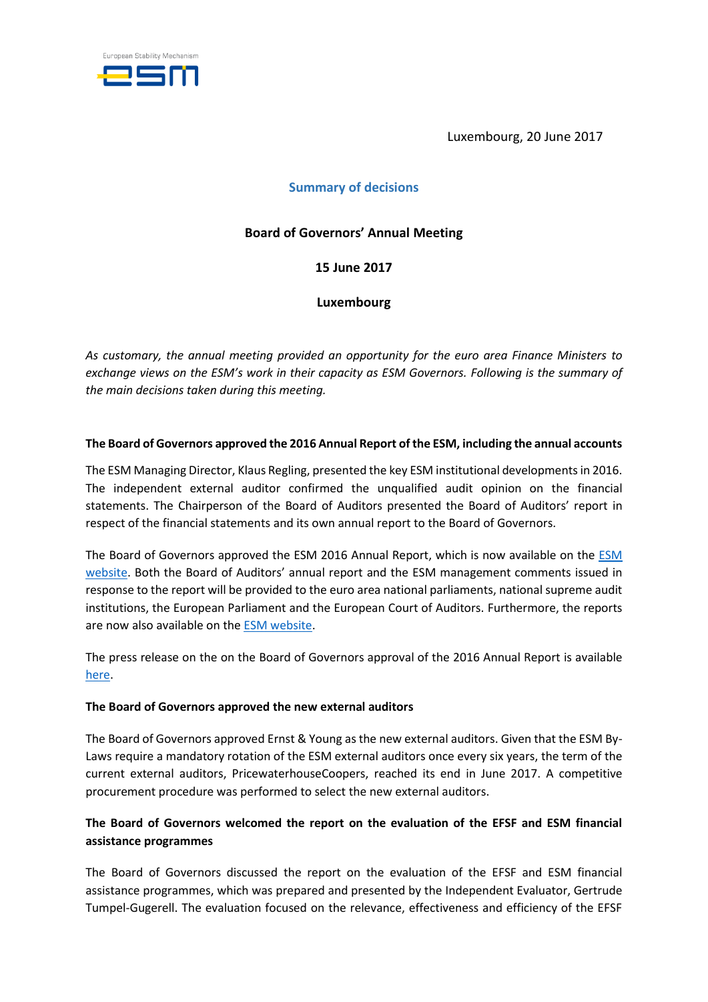

Luxembourg, 20 June 2017

## **Summary of decisions**

## **Board of Governors' Annual Meeting**

**15 June 2017**

**Luxembourg**

*As customary, the annual meeting provided an opportunity for the euro area Finance Ministers to exchange views on the ESM's work in their capacity as ESM Governors. Following is the summary of the main decisions taken during this meeting.* 

### **The Board of Governors approved the 2016 Annual Report of the ESM, including the annual accounts**

The ESM Managing Director, Klaus Regling, presented the key ESM institutional developments in 2016. The independent external auditor confirmed the unqualified audit opinion on the financial statements. The Chairperson of the Board of Auditors presented the Board of Auditors' report in respect of the financial statements and its own annual report to the Board of Governors.

The Board of Governors approved the ESM 2016 Annual Report, which is now available on the [ESM](https://www.esm.europa.eu/publications/esm-annual-report-2016)  [website.](https://www.esm.europa.eu/publications/esm-annual-report-2016) Both the Board of Auditors' annual report and the ESM management comments issued in response to the report will be provided to the euro area national parliaments, national supreme audit institutions, the European Parliament and the European Court of Auditors. Furthermore, the reports are now also available on the [ESM website.](https://www.esm.europa.eu/esm-governance#board_of_auditors)

The press release on the on the Board of Governors approval of the 2016 Annual Report is available [here.](https://www.esm.europa.eu/press-releases/esm-board-governors-approves-2016-annual-report)

#### **The Board of Governors approved the new external auditors**

The Board of Governors approved Ernst & Young as the new external auditors. Given that the ESM By-Laws require a mandatory rotation of the ESM external auditors once every six years, the term of the current external auditors, PricewaterhouseCoopers, reached its end in June 2017. A competitive procurement procedure was performed to select the new external auditors.

# **The Board of Governors welcomed the report on the evaluation of the EFSF and ESM financial assistance programmes**

The Board of Governors discussed the report on the evaluation of the EFSF and ESM financial assistance programmes, which was prepared and presented by the Independent Evaluator, Gertrude Tumpel-Gugerell. The evaluation focused on the relevance, effectiveness and efficiency of the EFSF